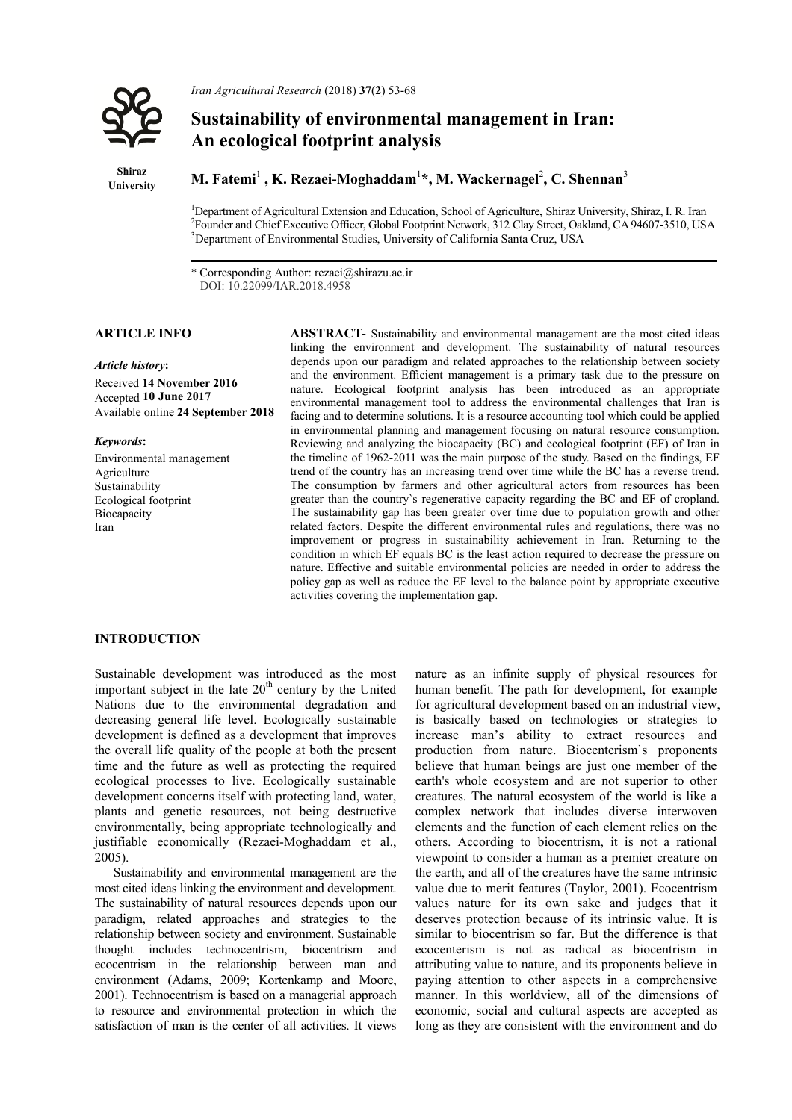

**Shiraz University**  *Iran Agricultural Research* (2018) **37**(**2**) 53-68

# **Sustainability of environmental management in Iran: An ecological footprint analysis**

**M. Fatemi**<sup>1</sup> **, K. Rezaei-Moghaddam**<sup>1</sup> **\*, M. Wackernagel**<sup>2</sup> **, C. Shennan**<sup>3</sup>

<sup>1</sup>Department of Agricultural Extension and Education, School of Agriculture, Shiraz University, Shiraz, I. R. Iran <sup>2</sup>Equador and Chiof Executive Officer, Global Equations<sup>2</sup> Equador and Chiof Executive Officer, Global Eq Founder and Chief Executive Officer, Global Footprint Network, 312 Clay Street, Oakland, CA 94607-3510, USA 3 Department of Environmental Studies, University of California Santa Cruz, USA

\* Corresponding Author: rezaei@shirazu.ac.ir

DOI: 10.22099/IAR.2018.4958

## *Article history***:**

Received **14 November 2016**  Accepted **10 June 2017** Available online **24 September 2018**

## *Keywords***:**

Environmental management Agriculture Sustainability Ecological footprint Biocapacity Iran

**ARTICLE INFO ABSTRACT-** Sustainability and environmental management are the most cited ideas linking the environment and development. The sustainability of natural resources depends upon our paradigm and related approaches to the relationship between society and the environment. Efficient management is a primary task due to the pressure on nature. Ecological footprint analysis has been introduced as an appropriate environmental management tool to address the environmental challenges that Iran is facing and to determine solutions. It is a resource accounting tool which could be applied in environmental planning and management focusing on natural resource consumption. Reviewing and analyzing the biocapacity (BC) and ecological footprint (EF) of Iran in the timeline of 1962-2011 was the main purpose of the study. Based on the findings, EF trend of the country has an increasing trend over time while the BC has a reverse trend. The consumption by farmers and other agricultural actors from resources has been greater than the country`s regenerative capacity regarding the BC and EF of cropland. The sustainability gap has been greater over time due to population growth and other related factors. Despite the different environmental rules and regulations, there was no improvement or progress in sustainability achievement in Iran. Returning to the condition in which EF equals BC is the least action required to decrease the pressure on nature. Effective and suitable environmental policies are needed in order to address the policy gap as well as reduce the EF level to the balance point by appropriate executive activities covering the implementation gap.

## **INTRODUCTION**

Sustainable development was introduced as the most important subject in the late  $20<sup>th</sup>$  century by the United Nations due to the environmental degradation and decreasing general life level. Ecologically sustainable development is defined as a development that improves the overall life quality of the people at both the present time and the future as well as protecting the required ecological processes to live. Ecologically sustainable development concerns itself with protecting land, water, plants and genetic resources, not being destructive environmentally, being appropriate technologically and justifiable economically (Rezaei-Moghaddam et al., 2005).

Sustainability and environmental management are the most cited ideas linking the environment and development. The sustainability of natural resources depends upon our paradigm, related approaches and strategies to the relationship between society and environment. Sustainable thought includes technocentrism, biocentrism and ecocentrism in the relationship between man and environment (Adams, 2009; Kortenkamp and Moore, 2001). Technocentrism is based on a managerial approach to resource and environmental protection in which the satisfaction of man is the center of all activities. It views

nature as an infinite supply of physical resources for human benefit. The path for development, for example for agricultural development based on an industrial view, is basically based on technologies or strategies to increase man's ability to extract resources and production from nature. Biocenterism`s proponents believe that human beings are just one member of the earth's whole ecosystem and are not superior to other creatures. The natural ecosystem of the world is like a complex network that includes diverse interwoven elements and the function of each element relies on the others. According to biocentrism, it is not a rational viewpoint to consider a human as a premier creature on the earth, and all of the creatures have the same intrinsic value due to merit features (Taylor, 2001). Ecocentrism values nature for its own sake and judges that it deserves protection because of its intrinsic value. It is similar to biocentrism so far. But the difference is that ecocenterism is not as radical as biocentrism in attributing value to nature, and its proponents believe in paying attention to other aspects in a comprehensive manner. In this worldview, all of the dimensions of economic, social and cultural aspects are accepted as long as they are consistent with the environment and do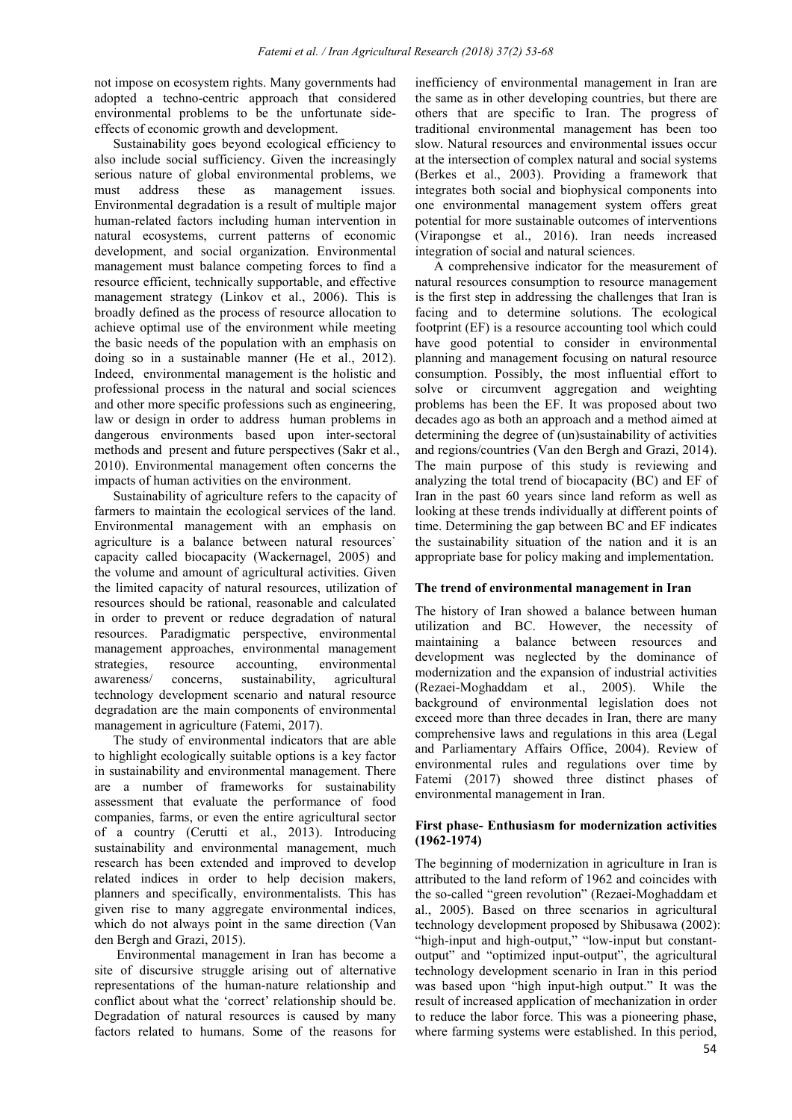not impose on ecosystem rights. Many governments had adopted a techno-centric approach that considered environmental problems to be the unfortunate sideeffects of economic growth and development.

Sustainability goes beyond ecological efficiency to also include social sufficiency. Given the increasingly serious nature of global environmental problems, we must address these as management issues*.* Environmental degradation is a result of multiple major human-related factors including human intervention in natural ecosystems, current patterns of economic development, and social organization. Environmental management must balance competing forces to find a resource efficient, technically supportable, and effective management strategy (Linkov et al., 2006). This is broadly defined as the process of resource allocation to achieve optimal use of the environment while meeting the basic needs of the population with an emphasis on doing so in a sustainable manner (He et al., 2012). Indeed, environmental management is the holistic and professional process in the natural and social sciences and other more specific professions such as engineering, law or design in order to address human problems in dangerous environments based upon inter-sectoral methods and present and future perspectives (Sakr et al., 2010). Environmental management often concerns the impacts of human activities on the environment.

Sustainability of agriculture refers to the capacity of farmers to maintain the ecological services of the land. Environmental management with an emphasis on agriculture is a balance between natural resources` capacity called biocapacity (Wackernagel, 2005) and the volume and amount of agricultural activities. Given the limited capacity of natural resources, utilization of resources should be rational, reasonable and calculated in order to prevent or reduce degradation of natural resources. Paradigmatic perspective, environmental management approaches, environmental management strategies, resource accounting, environmental awareness/ concerns, sustainability, agricultural technology development scenario and natural resource degradation are the main components of environmental management in agriculture (Fatemi, 2017).

The study of environmental indicators that are able to highlight ecologically suitable options is a key factor in sustainability and environmental management. There are a number of frameworks for sustainability assessment that evaluate the performance of food companies, farms, or even the entire agricultural sector of a country (Cerutti et al., 2013). Introducing sustainability and environmental management, much research has been extended and improved to develop related indices in order to help decision makers, planners and specifically, environmentalists. This has given rise to many aggregate environmental indices, which do not always point in the same direction (Van den Bergh and Grazi, 2015).

 Environmental management in Iran has become a site of discursive struggle arising out of alternative representations of the human-nature relationship and conflict about what the 'correct' relationship should be. Degradation of natural resources is caused by many factors related to humans. Some of the reasons for inefficiency of environmental management in Iran are the same as in other developing countries, but there are others that are specific to Iran. The progress of traditional environmental management has been too slow. Natural resources and environmental issues occur at the intersection of complex natural and social systems (Berkes et al., 2003). Providing a framework that integrates both social and biophysical components into one environmental management system offers great potential for more sustainable outcomes of interventions (Virapongse et al., 2016). Iran needs increased integration of social and natural sciences.

A comprehensive indicator for the measurement of natural resources consumption to resource management is the first step in addressing the challenges that Iran is facing and to determine solutions. The ecological footprint (EF) is a resource accounting tool which could have good potential to consider in environmental planning and management focusing on natural resource consumption. Possibly, the most influential effort to solve or circumvent aggregation and weighting problems has been the EF. It was proposed about two decades ago as both an approach and a method aimed at determining the degree of (un)sustainability of activities and regions/countries (Van den Bergh and Grazi, 2014). The main purpose of this study is reviewing and analyzing the total trend of biocapacity (BC) and EF of Iran in the past 60 years since land reform as well as looking at these trends individually at different points of time. Determining the gap between BC and EF indicates the sustainability situation of the nation and it is an appropriate base for policy making and implementation.

### **The trend of environmental management in Iran**

The history of Iran showed a balance between human utilization and BC. However, the necessity of maintaining a balance between resources and development was neglected by the dominance of modernization and the expansion of industrial activities (Rezaei-Moghaddam et al., 2005). While the background of environmental legislation does not exceed more than three decades in Iran, there are many comprehensive laws and regulations in this area (Legal and Parliamentary Affairs Office, 2004). Review of environmental rules and regulations over time by Fatemi (2017) showed three distinct phases of environmental management in Iran.

## **First phase- Enthusiasm for modernization activities (1962-1974)**

The beginning of modernization in agriculture in Iran is attributed to the land reform of 1962 and coincides with the so-called "green revolution" (Rezaei-Moghaddam et al., 2005). Based on three scenarios in agricultural technology development proposed by Shibusawa (2002): "high-input and high-output," "low-input but constantoutput" and "optimized input-output", the agricultural technology development scenario in Iran in this period was based upon "high input-high output." It was the result of increased application of mechanization in order to reduce the labor force. This was a pioneering phase, where farming systems were established. In this period,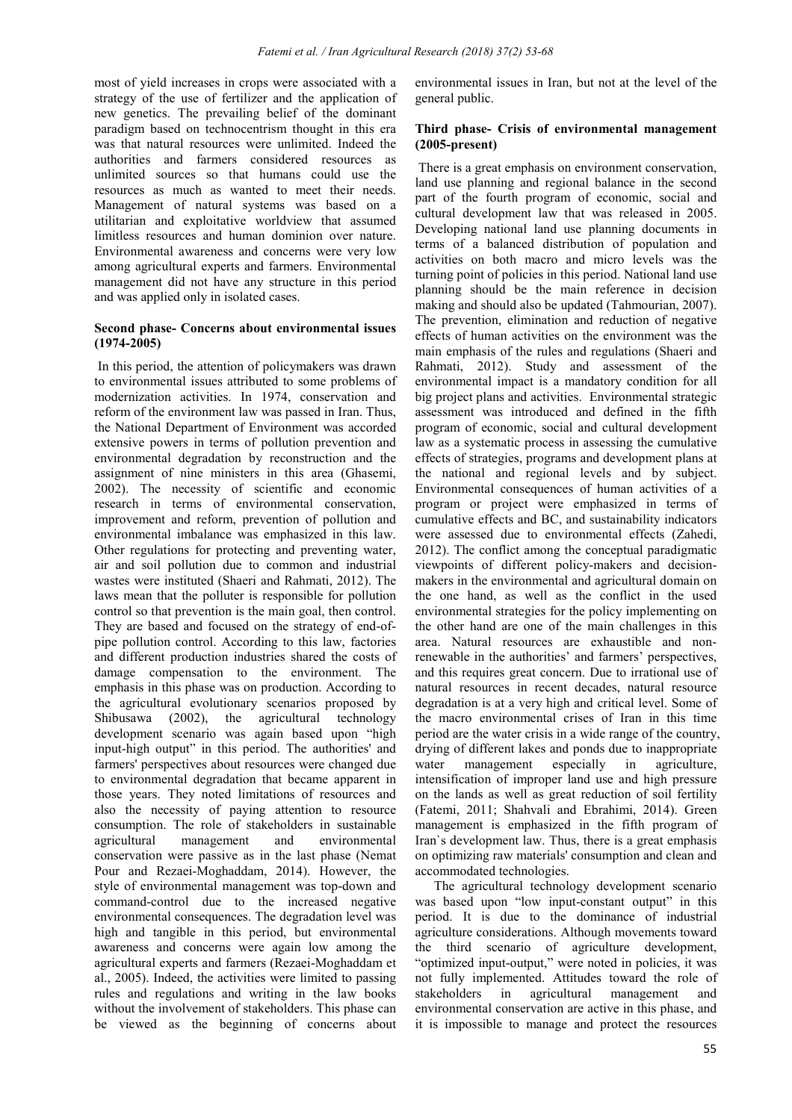most of yield increases in crops were associated with a strategy of the use of fertilizer and the application of new genetics. The prevailing belief of the dominant paradigm based on technocentrism thought in this era was that natural resources were unlimited. Indeed the authorities and farmers considered resources as unlimited sources so that humans could use the resources as much as wanted to meet their needs. Management of natural systems was based on a utilitarian and exploitative worldview that assumed limitless resources and human dominion over nature. Environmental awareness and concerns were very low among agricultural experts and farmers. Environmental management did not have any structure in this period and was applied only in isolated cases.

## **Second phase- Concerns about environmental issues (1974-2005)**

In this period, the attention of policymakers was drawn to environmental issues attributed to some problems of modernization activities. In 1974, conservation and reform of the environment law was passed in Iran. Thus, the National Department of Environment was accorded extensive powers in terms of pollution prevention and environmental degradation by reconstruction and the assignment of nine ministers in this area (Ghasemi, 2002). The necessity of scientific and economic research in terms of environmental conservation, improvement and reform, prevention of pollution and environmental imbalance was emphasized in this law. Other regulations for protecting and preventing water, air and soil pollution due to common and industrial wastes were instituted (Shaeri and Rahmati, 2012). The laws mean that the polluter is responsible for pollution control so that prevention is the main goal, then control. They are based and focused on the strategy of end-ofpipe pollution control. According to this law, factories and different production industries shared the costs of damage compensation to the environment. The emphasis in this phase was on production. According to the agricultural evolutionary scenarios proposed by Shibusawa (2002), the agricultural technology development scenario was again based upon "high input-high output" in this period. The authorities' and farmers' perspectives about resources were changed due to environmental degradation that became apparent in those years. They noted limitations of resources and also the necessity of paying attention to resource consumption. The role of stakeholders in sustainable agricultural management and environmental conservation were passive as in the last phase (Nemat Pour and Rezaei-Moghaddam, 2014). However, the style of environmental management was top-down and command-control due to the increased negative environmental consequences. The degradation level was high and tangible in this period, but environmental awareness and concerns were again low among the agricultural experts and farmers (Rezaei-Moghaddam et al., 2005). Indeed, the activities were limited to passing rules and regulations and writing in the law books without the involvement of stakeholders. This phase can be viewed as the beginning of concerns about

environmental issues in Iran, but not at the level of the general public.

## **Third phase- Crisis of environmental management (2005-present)**

There is a great emphasis on environment conservation, land use planning and regional balance in the second part of the fourth program of economic, social and cultural development law that was released in 2005. Developing national land use planning documents in terms of a balanced distribution of population and activities on both macro and micro levels was the turning point of policies in this period. National land use planning should be the main reference in decision making and should also be updated (Tahmourian, 2007). The prevention, elimination and reduction of negative effects of human activities on the environment was the main emphasis of the rules and regulations (Shaeri and Rahmati, 2012). Study and assessment of the environmental impact is a mandatory condition for all big project plans and activities. Environmental strategic assessment was introduced and defined in the fifth program of economic, social and cultural development law as a systematic process in assessing the cumulative effects of strategies, programs and development plans at the national and regional levels and by subject. Environmental consequences of human activities of a program or project were emphasized in terms of cumulative effects and BC, and sustainability indicators were assessed due to environmental effects (Zahedi, 2012). The conflict among the conceptual paradigmatic viewpoints of different policy-makers and decisionmakers in the environmental and agricultural domain on the one hand, as well as the conflict in the used environmental strategies for the policy implementing on the other hand are one of the main challenges in this area. Natural resources are exhaustible and nonrenewable in the authorities' and farmers' perspectives, and this requires great concern. Due to irrational use of natural resources in recent decades, natural resource degradation is at a very high and critical level. Some of the macro environmental crises of Iran in this time period are the water crisis in a wide range of the country, drying of different lakes and ponds due to inappropriate water management especially in agriculture, intensification of improper land use and high pressure on the lands as well as great reduction of soil fertility (Fatemi, 2011; Shahvali and Ebrahimi, 2014). Green management is emphasized in the fifth program of Iran`s development law. Thus, there is a great emphasis on optimizing raw materials' consumption and clean and accommodated technologies.

The agricultural technology development scenario was based upon "low input-constant output" in this period. It is due to the dominance of industrial agriculture considerations. Although movements toward the third scenario of agriculture development, "optimized input-output," were noted in policies, it was not fully implemented. Attitudes toward the role of stakeholders in agricultural management and environmental conservation are active in this phase, and it is impossible to manage and protect the resources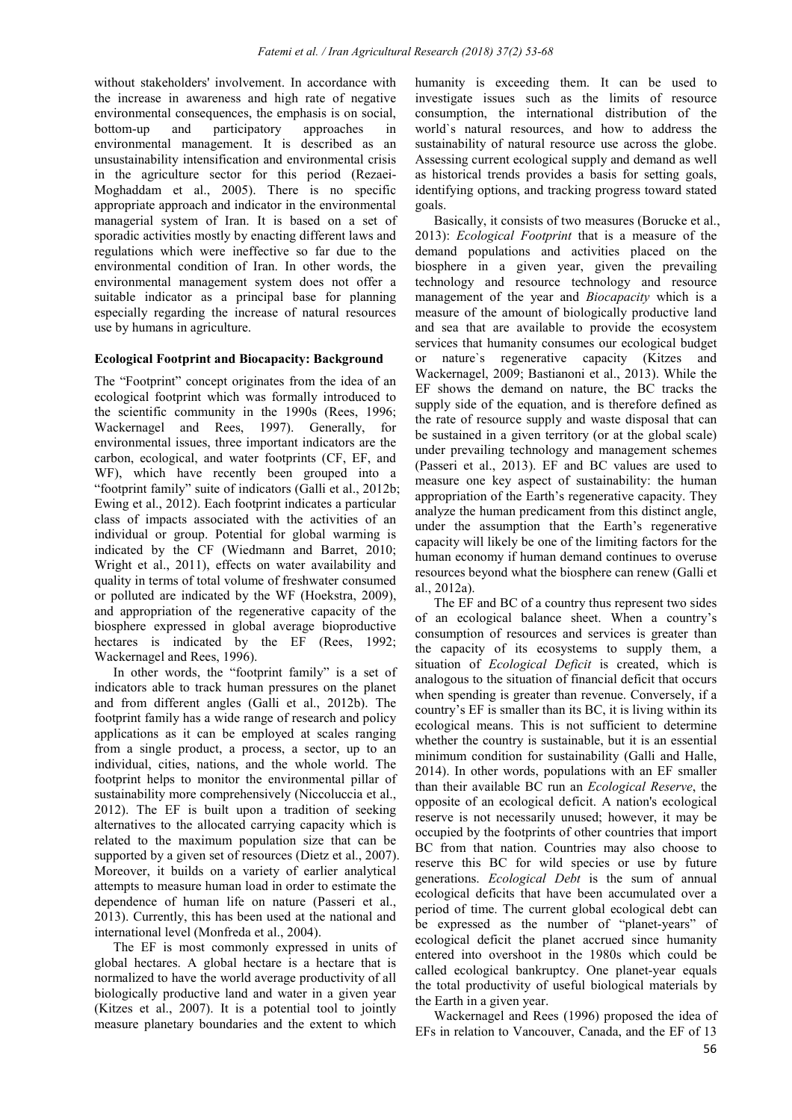without stakeholders' involvement. In accordance with the increase in awareness and high rate of negative environmental consequences, the emphasis is on social, bottom-up and participatory approaches in environmental management. It is described as an unsustainability intensification and environmental crisis in the agriculture sector for this period (Rezaei-Moghaddam et al., 2005). There is no specific appropriate approach and indicator in the environmental managerial system of Iran. It is based on a set of sporadic activities mostly by enacting different laws and regulations which were ineffective so far due to the environmental condition of Iran. In other words, the environmental management system does not offer a suitable indicator as a principal base for planning especially regarding the increase of natural resources use by humans in agriculture.

## **Ecological Footprint and Biocapacity: Background**

The "Footprint" concept originates from the idea of an ecological footprint which was formally introduced to the scientific community in the 1990s (Rees, 1996; Wackernagel and Rees, 1997). Generally, for environmental issues, three important indicators are the carbon, ecological, and water footprints (CF, EF, and WF), which have recently been grouped into a "footprint family" suite of indicators (Galli et al., 2012b; Ewing et al., 2012). Each footprint indicates a particular class of impacts associated with the activities of an individual or group. Potential for global warming is indicated by the CF (Wiedmann and Barret, 2010; Wright et al., 2011), effects on water availability and quality in terms of total volume of freshwater consumed or polluted are indicated by the WF (Hoekstra, 2009), and appropriation of the regenerative capacity of the biosphere expressed in global average bioproductive hectares is indicated by the EF (Rees, 1992; Wackernagel and Rees, 1996).

In other words, the "footprint family" is a set of indicators able to track human pressures on the planet and from different angles (Galli et al., 2012b). The footprint family has a wide range of research and policy applications as it can be employed at scales ranging from a single product, a process, a sector, up to an individual, cities, nations, and the whole world. The footprint helps to monitor the environmental pillar of sustainability more comprehensively (Niccoluccia et al., 2012). The EF is built upon a tradition of seeking alternatives to the allocated carrying capacity which is related to the maximum population size that can be supported by a given set of resources (Dietz et al., 2007). Moreover, it builds on a variety of earlier analytical attempts to measure human load in order to estimate the dependence of human life on nature (Passeri et al., 2013). Currently, this has been used at the national and international level (Monfreda et al., 2004).

The EF is most commonly expressed in units of global hectares. A global hectare is a hectare that is normalized to have the world average productivity of all biologically productive land and water in a given year (Kitzes et al., 2007). It is a potential tool to jointly measure planetary boundaries and the extent to which

humanity is exceeding them. It can be used to investigate issues such as the limits of resource consumption, the international distribution of the world`s natural resources, and how to address the sustainability of natural resource use across the globe. Assessing current ecological supply and demand as well as historical trends provides a basis for setting goals, identifying options, and tracking progress toward stated goals.

Basically, it consists of two measures (Borucke et al., 2013): *Ecological Footprint* that is a measure of the demand populations and activities placed on the biosphere in a given year, given the prevailing technology and resource technology and resource management of the year and *Biocapacity* which is a measure of the amount of biologically productive land and sea that are available to provide the ecosystem services that humanity consumes our ecological budget or nature`s regenerative capacity (Kitzes and Wackernagel, 2009; Bastianoni et al., 2013). While the EF shows the demand on nature, the BC tracks the supply side of the equation, and is therefore defined as the rate of resource supply and waste disposal that can be sustained in a given territory (or at the global scale) under prevailing technology and management schemes (Passeri et al., 2013). EF and BC values are used to measure one key aspect of sustainability: the human appropriation of the Earth's regenerative capacity. They analyze the human predicament from this distinct angle, under the assumption that the Earth's regenerative capacity will likely be one of the limiting factors for the human economy if human demand continues to overuse resources beyond what the biosphere can renew (Galli et al., 2012a).

The EF and BC of a country thus represent two sides of an ecological balance sheet. When a country's consumption of resources and services is greater than the capacity of its ecosystems to supply them, a situation of *Ecological Deficit* is created, which is analogous to the situation of financial deficit that occurs when spending is greater than revenue. Conversely, if a country's EF is smaller than its BC, it is living within its ecological means. This is not sufficient to determine whether the country is sustainable, but it is an essential minimum condition for sustainability (Galli and Halle, 2014). In other words, populations with an EF smaller than their available BC run an *Ecological Reserve*, the opposite of an ecological deficit. A nation's ecological reserve is not necessarily unused; however, it may be occupied by the footprints of other countries that import BC from that nation. Countries may also choose to reserve this BC for wild species or use by future generations. *Ecological Debt* is the sum of annual ecological deficits that have been accumulated over a period of time. The current global ecological debt can be expressed as the number of "planet-years" of ecological deficit the planet accrued since humanity entered into overshoot in the 1980s which could be called ecological bankruptcy. One planet-year equals the total productivity of useful biological materials by the Earth in a given year.

Wackernagel and Rees (1996) proposed the idea of EFs in relation to Vancouver, Canada, and the EF of 13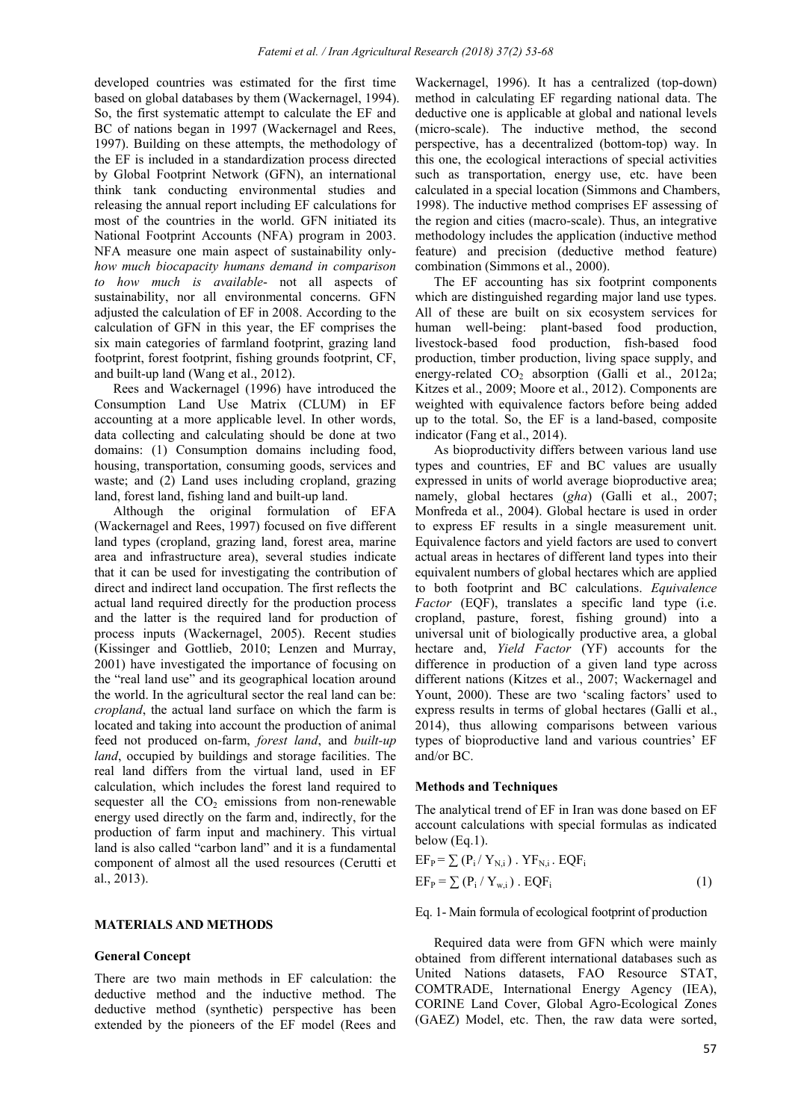developed countries was estimated for the first time based on global databases by them (Wackernagel, 1994). So, the first systematic attempt to calculate the EF and BC of nations began in 1997 (Wackernagel and Rees, 1997). Building on these attempts, the methodology of the EF is included in a standardization process directed by Global Footprint Network (GFN), an international think tank conducting environmental studies and releasing the annual report including EF calculations for most of the countries in the world. GFN initiated its National Footprint Accounts (NFA) program in 2003. NFA measure one main aspect of sustainability only*how much biocapacity humans demand in comparison to how much is available*- not all aspects of sustainability, nor all environmental concerns. GFN adjusted the calculation of EF in 2008. According to the calculation of GFN in this year, the EF comprises the six main categories of farmland footprint, grazing land footprint, forest footprint, fishing grounds footprint, CF, and built-up land (Wang et al., 2012).

Rees and Wackernagel (1996) have introduced the Consumption Land Use Matrix (CLUM) in EF accounting at a more applicable level. In other words, data collecting and calculating should be done at two domains: (1) Consumption domains including food, housing, transportation, consuming goods, services and waste; and (2) Land uses including cropland, grazing land, forest land, fishing land and built-up land.

Although the original formulation of EFA (Wackernagel and Rees, 1997) focused on five different land types (cropland, grazing land, forest area, marine area and infrastructure area), several studies indicate that it can be used for investigating the contribution of direct and indirect land occupation. The first reflects the actual land required directly for the production process and the latter is the required land for production of process inputs (Wackernagel, 2005). Recent studies (Kissinger and Gottlieb, 2010; Lenzen and Murray, 2001) have investigated the importance of focusing on the "real land use" and its geographical location around the world. In the agricultural sector the real land can be: *cropland*, the actual land surface on which the farm is located and taking into account the production of animal feed not produced on-farm, *forest land*, and *built-up land*, occupied by buildings and storage facilities. The real land differs from the virtual land, used in EF calculation, which includes the forest land required to sequester all the  $CO<sub>2</sub>$  emissions from non-renewable energy used directly on the farm and, indirectly, for the production of farm input and machinery. This virtual land is also called "carbon land" and it is a fundamental component of almost all the used resources (Cerutti et al., 2013).

### **MATERIALS AND METHODS**

#### **General Concept**

There are two main methods in EF calculation: the deductive method and the inductive method. The deductive method (synthetic) perspective has been extended by the pioneers of the EF model (Rees and Wackernagel, 1996). It has a centralized (top-down) method in calculating EF regarding national data. The deductive one is applicable at global and national levels (micro-scale). The inductive method, the second perspective, has a decentralized (bottom-top) way. In this one, the ecological interactions of special activities such as transportation, energy use, etc. have been calculated in a special location (Simmons and Chambers, 1998). The inductive method comprises EF assessing of the region and cities (macro-scale). Thus, an integrative methodology includes the application (inductive method feature) and precision (deductive method feature) combination (Simmons et al., 2000).

The EF accounting has six footprint components which are distinguished regarding major land use types. All of these are built on six ecosystem services for human well-being: plant-based food production, livestock-based food production, fish-based food production, timber production, living space supply, and energy-related  $CO<sub>2</sub>$  absorption (Galli et al., 2012a; Kitzes et al., 2009; Moore et al., 2012). Components are weighted with equivalence factors before being added up to the total. So, the EF is a land-based, composite indicator (Fang et al., 2014).

As bioproductivity differs between various land use types and countries, EF and BC values are usually expressed in units of world average bioproductive area; namely, global hectares (*gha*) (Galli et al., 2007; Monfreda et al., 2004). Global hectare is used in order to express EF results in a single measurement unit. Equivalence factors and yield factors are used to convert actual areas in hectares of different land types into their equivalent numbers of global hectares which are applied to both footprint and BC calculations. *Equivalence Factor* (EQF), translates a specific land type (i.e. cropland, pasture, forest, fishing ground) into a universal unit of biologically productive area, a global hectare and, *Yield Factor* (YF) accounts for the difference in production of a given land type across different nations (Kitzes et al., 2007; Wackernagel and Yount, 2000). These are two 'scaling factors' used to express results in terms of global hectares (Galli et al., 2014), thus allowing comparisons between various types of bioproductive land and various countries' EF and/or BC.

#### **Methods and Techniques**

The analytical trend of EF in Iran was done based on EF account calculations with special formulas as indicated below (Eq.1).

$$
EF_{P} = \sum (P_{i} / Y_{N,i}) \cdot YF_{N,i} \cdot EQF_{i}
$$
  
\n
$$
EF_{P} = \sum (P_{i} / Y_{w,i}) \cdot EQF_{i}
$$
 (1)

Eq. 1- Main formula of ecological footprint of production

Required data were from GFN which were mainly obtained from different international databases such as United Nations datasets, FAO Resource STAT, COMTRADE, International Energy Agency (IEA), CORINE Land Cover, Global Agro-Ecological Zones (GAEZ) Model, etc. Then, the raw data were sorted,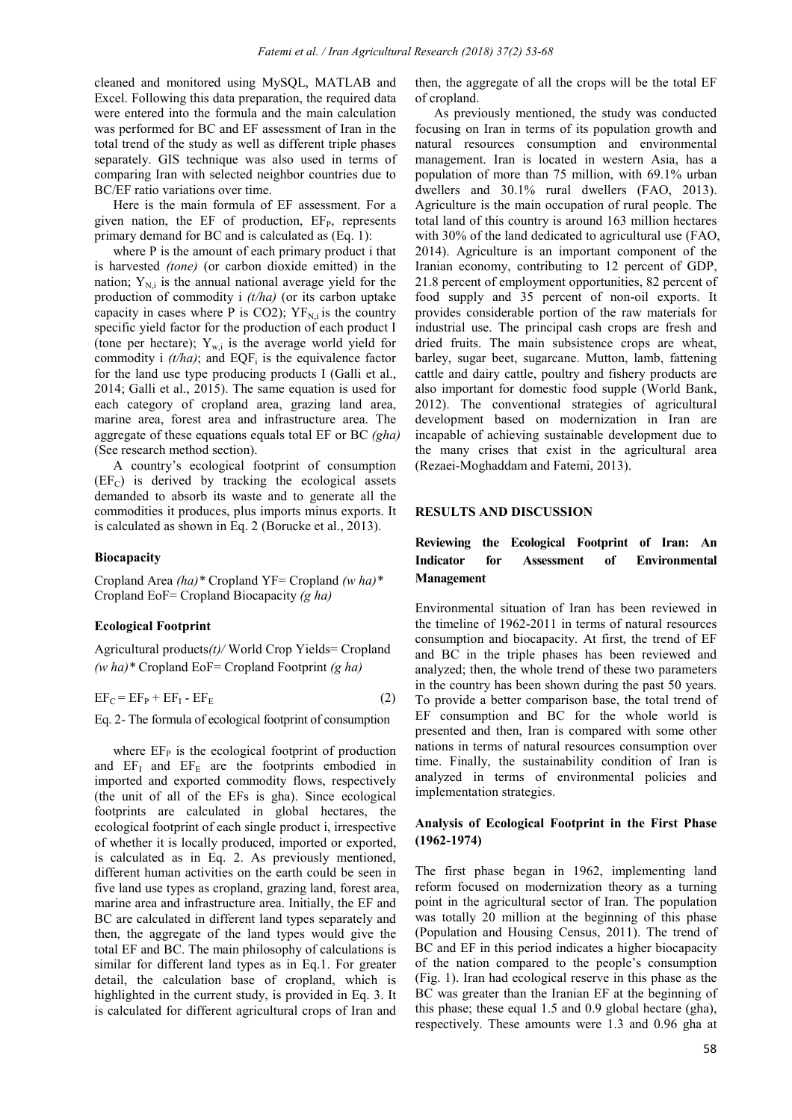cleaned and monitored using MySQL, MATLAB and Excel. Following this data preparation, the required data were entered into the formula and the main calculation was performed for BC and EF assessment of Iran in the total trend of the study as well as different triple phases separately. GIS technique was also used in terms of comparing Iran with selected neighbor countries due to BC/EF ratio variations over time.

Here is the main formula of EF assessment. For a given nation, the EF of production,  $EF_{P}$ , represents primary demand for BC and is calculated as (Eq. 1):

where P is the amount of each primary product i that is harvested *(tone)* (or carbon dioxide emitted) in the nation;  $Y_{N,i}$  is the annual national average yield for the production of commodity i *(t/ha)* (or its carbon uptake capacity in cases where P is CO2);  $YF_{N,i}$  is the country specific yield factor for the production of each product I (tone per hectare);  $Y_{wi}$  is the average world yield for commodity i  $(t/ha)$ ; and EQF<sub>i</sub> is the equivalence factor for the land use type producing products I (Galli et al., 2014; Galli et al., 2015). The same equation is used for each category of cropland area, grazing land area, marine area, forest area and infrastructure area. The aggregate of these equations equals total EF or BC *(gha)* (See research method section).

A country's ecological footprint of consumption  $(EF_C)$  is derived by tracking the ecological assets demanded to absorb its waste and to generate all the commodities it produces, plus imports minus exports. It is calculated as shown in Eq. 2 (Borucke et al., 2013).

#### **Biocapacity**

Cropland Area *(ha)\** Cropland YF= Cropland *(w ha)\**  Cropland EoF= Cropland Biocapacity *(g ha)* 

#### **Ecological Footprint**

Agricultural products*(t)/* World Crop Yields= Cropland *(w ha)\** Cropland EoF= Cropland Footprint *(g ha)* 

$$
EF_C = EF_P + EF_I - EF_E
$$
 (2)

Eq. 2- The formula of ecological footprint of consumption

where  $EF_{\text{P}}$  is the ecological footprint of production and  $EF_{I}$  and  $EF_{E}$  are the footprints embodied in imported and exported commodity flows, respectively (the unit of all of the EFs is gha). Since ecological footprints are calculated in global hectares, the ecological footprint of each single product i, irrespective of whether it is locally produced, imported or exported, is calculated as in Eq. 2. As previously mentioned, different human activities on the earth could be seen in five land use types as cropland, grazing land, forest area, marine area and infrastructure area. Initially, the EF and BC are calculated in different land types separately and then, the aggregate of the land types would give the total EF and BC. The main philosophy of calculations is similar for different land types as in Eq.1. For greater detail, the calculation base of cropland, which is highlighted in the current study, is provided in Eq. 3. It is calculated for different agricultural crops of Iran and

then, the aggregate of all the crops will be the total EF of cropland.

As previously mentioned, the study was conducted focusing on Iran in terms of its population growth and natural resources consumption and environmental management. Iran is located in western Asia, has a population of more than 75 million, with 69.1% urban dwellers and 30.1% rural dwellers (FAO, 2013). Agriculture is the main occupation of rural people. The total land of this country is around 163 million hectares with 30% of the land dedicated to agricultural use (FAO, 2014). Agriculture is an important component of the Iranian economy, contributing to 12 percent of GDP, 21.8 percent of employment opportunities, 82 percent of food supply and 35 percent of non-oil exports. It provides considerable portion of the raw materials for industrial use. The principal cash crops are fresh and dried fruits. The main subsistence crops are wheat, barley, sugar beet, sugarcane. Mutton, lamb, fattening cattle and dairy cattle, poultry and fishery products are also important for domestic food supple (World Bank, 2012). The conventional strategies of agricultural development based on modernization in Iran are incapable of achieving sustainable development due to the many crises that exist in the agricultural area (Rezaei-Moghaddam and Fatemi, 2013).

#### **RESULTS AND DISCUSSION**

## **Reviewing the Ecological Footprint of Iran: An Indicator for Assessment of Environmental Management**

Environmental situation of Iran has been reviewed in the timeline of 1962-2011 in terms of natural resources consumption and biocapacity. At first, the trend of EF and BC in the triple phases has been reviewed and analyzed; then, the whole trend of these two parameters in the country has been shown during the past 50 years. To provide a better comparison base, the total trend of EF consumption and BC for the whole world is presented and then, Iran is compared with some other nations in terms of natural resources consumption over time. Finally, the sustainability condition of Iran is analyzed in terms of environmental policies and implementation strategies.

## **Analysis of Ecological Footprint in the First Phase (1962-1974)**

The first phase began in 1962, implementing land reform focused on modernization theory as a turning point in the agricultural sector of Iran. The population was totally 20 million at the beginning of this phase (Population and Housing Census, 2011). The trend of BC and EF in this period indicates a higher biocapacity of the nation compared to the people's consumption (Fig. 1). Iran had ecological reserve in this phase as the BC was greater than the Iranian EF at the beginning of this phase; these equal 1.5 and 0.9 global hectare (gha), respectively. These amounts were 1.3 and 0.96 gha at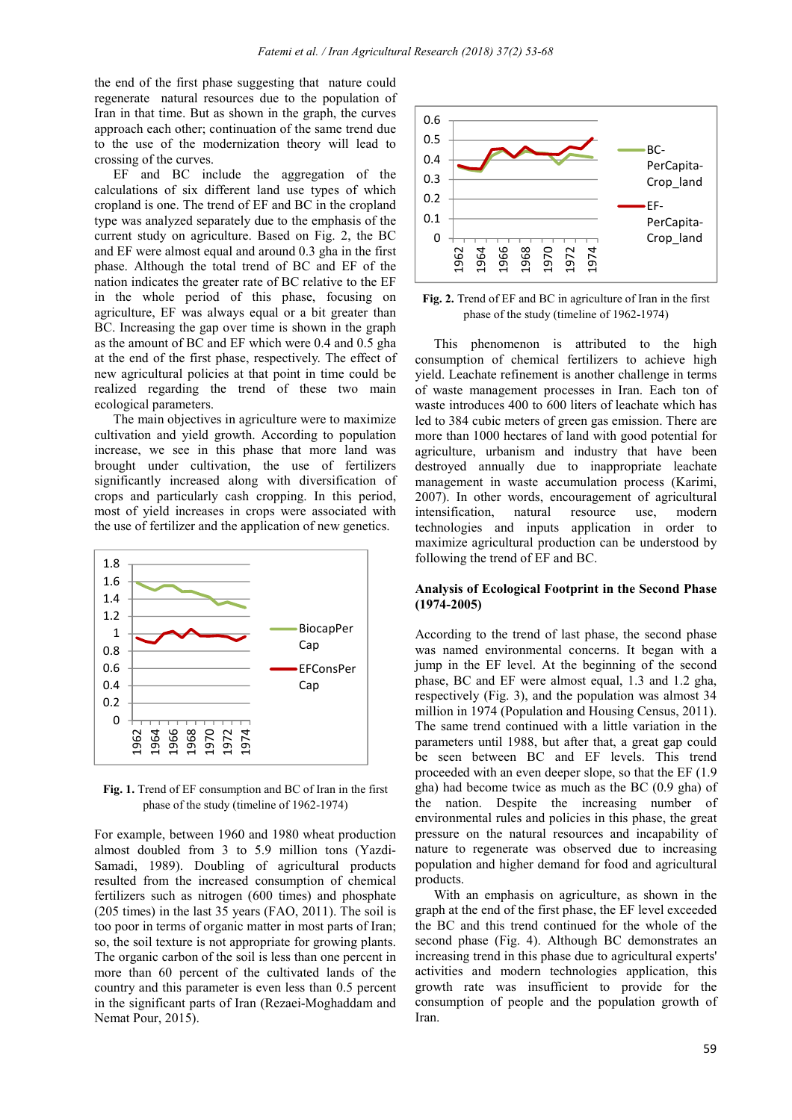the end of the first phase suggesting that nature could regenerate natural resources due to the population of Iran in that time. But as shown in the graph, the curves approach each other; continuation of the same trend due to the use of the modernization theory will lead to crossing of the curves.

EF and BC include the aggregation of the calculations of six different land use types of which cropland is one. The trend of EF and BC in the cropland type was analyzed separately due to the emphasis of the current study on agriculture. Based on Fig. 2, the BC and EF were almost equal and around 0.3 gha in the first phase. Although the total trend of BC and EF of the nation indicates the greater rate of BC relative to the EF in the whole period of this phase, focusing on agriculture, EF was always equal or a bit greater than BC. Increasing the gap over time is shown in the graph as the amount of BC and EF which were 0.4 and 0.5 gha at the end of the first phase, respectively. The effect of new agricultural policies at that point in time could be realized regarding the trend of these two main ecological parameters.

The main objectives in agriculture were to maximize cultivation and yield growth. According to population increase, we see in this phase that more land was brought under cultivation, the use of fertilizers significantly increased along with diversification of crops and particularly cash cropping. In this period, most of yield increases in crops were associated with the use of fertilizer and the application of new genetics.



**Fig. 1.** Trend of EF consumption and BC of Iran in the first phase of the study (timeline of 1962-1974)

For example, between 1960 and 1980 wheat production almost doubled from 3 to 5.9 million tons (Yazdi-Samadi, 1989). Doubling of agricultural products resulted from the increased consumption of chemical fertilizers such as nitrogen (600 times) and phosphate (205 times) in the last 35 years (FAO, 2011). The soil is too poor in terms of organic matter in most parts of Iran; so, the soil texture is not appropriate for growing plants. The organic carbon of the soil is less than one percent in more than 60 percent of the cultivated lands of the country and this parameter is even less than 0.5 percent in the significant parts of Iran (Rezaei-Moghaddam and Nemat Pour, 2015).



**Fig. 2.** Trend of EF and BC in agriculture of Iran in the first phase of the study (timeline of 1962-1974)

This phenomenon is attributed to the high consumption of chemical fertilizers to achieve high yield. Leachate refinement is another challenge in terms of waste management processes in Iran. Each ton of waste introduces 400 to 600 liters of leachate which has led to 384 cubic meters of green gas emission. There are more than 1000 hectares of land with good potential for agriculture, urbanism and industry that have been destroyed annually due to inappropriate leachate management in waste accumulation process (Karimi, 2007). In other words, encouragement of agricultural intensification, natural resource use, modern technologies and inputs application in order to maximize agricultural production can be understood by following the trend of EF and BC.

## **Analysis of Ecological Footprint in the Second Phase (1974-2005)**

According to the trend of last phase, the second phase was named environmental concerns. It began with a jump in the EF level. At the beginning of the second phase, BC and EF were almost equal, 1.3 and 1.2 gha, respectively (Fig. 3), and the population was almost 34 million in 1974 (Population and Housing Census, 2011). The same trend continued with a little variation in the parameters until 1988, but after that, a great gap could be seen between BC and EF levels. This trend proceeded with an even deeper slope, so that the EF (1.9 gha) had become twice as much as the BC (0.9 gha) of the nation. Despite the increasing number of environmental rules and policies in this phase, the great pressure on the natural resources and incapability of nature to regenerate was observed due to increasing population and higher demand for food and agricultural products.

With an emphasis on agriculture, as shown in the graph at the end of the first phase, the EF level exceeded the BC and this trend continued for the whole of the second phase (Fig. 4). Although BC demonstrates an increasing trend in this phase due to agricultural experts' activities and modern technologies application, this growth rate was insufficient to provide for the consumption of people and the population growth of Iran.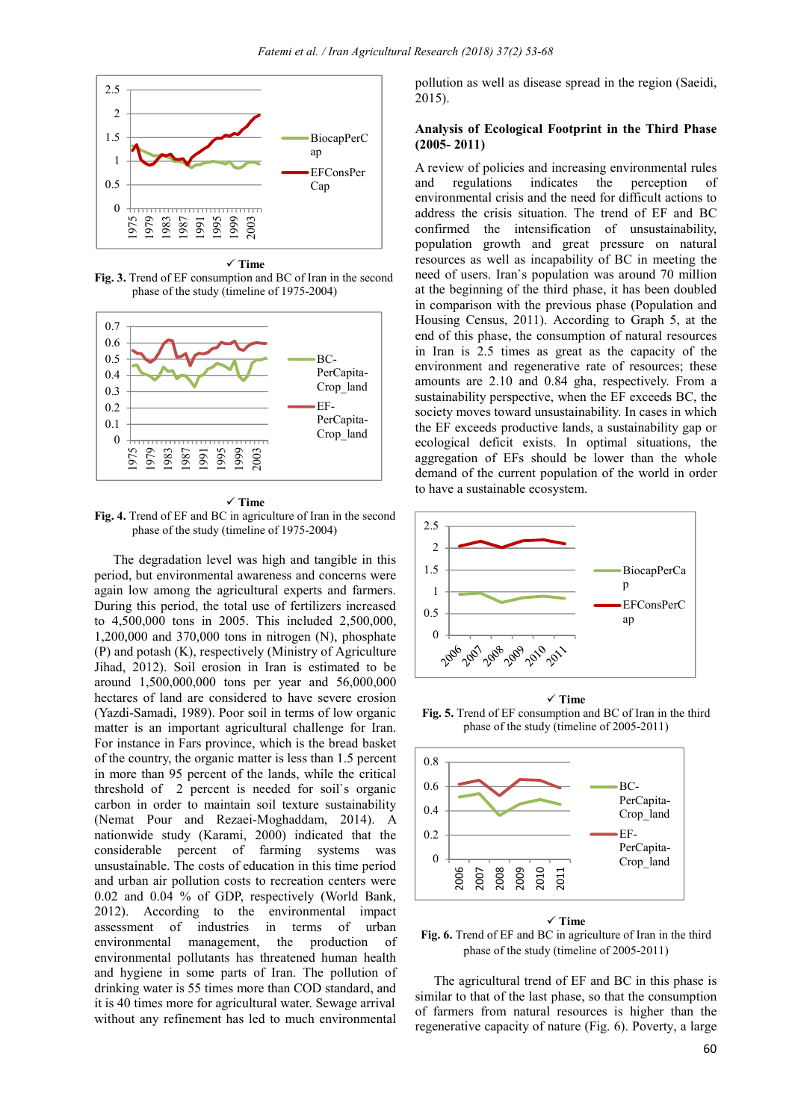

**Time** 

**Fig. 3.** Trend of EF consumption and BC of Iran in the second phase of the study (timeline of 1975-2004)



**Time** 

**Fig. 4.** Trend of EF and BC in agriculture of Iran in the second phase of the study (timeline of 1975-2004)

The degradation level was high and tangible in this period, but environmental awareness and concerns were again low among the agricultural experts and farmers. During this period, the total use of fertilizers increased to 4,500,000 tons in 2005. This included 2,500,000, 1,200,000 and 370,000 tons in nitrogen (N), phosphate (P) and potash (K), respectively (Ministry of Agriculture Jihad, 2012). Soil erosion in Iran is estimated to be around 1,500,000,000 tons per year and 56,000,000 hectares of land are considered to have severe erosion (Yazdi-Samadi, 1989). Poor soil in terms of low organic matter is an important agricultural challenge for Iran. For instance in Fars province, which is the bread basket of the country, the organic matter is less than 1.5 percent in more than 95 percent of the lands, while the critical threshold of 2 percent is needed for soil`s organic carbon in order to maintain soil texture sustainability (Nemat Pour and Rezaei-Moghaddam, 2014). A nationwide study (Karami, 2000) indicated that the considerable percent of farming systems was unsustainable. The costs of education in this time period and urban air pollution costs to recreation centers were 0.02 and 0.04 % of GDP, respectively (World Bank, 2012). According to the environmental impact assessment of industries in terms of urban environmental management, the production of environmental pollutants has threatened human health and hygiene in some parts of Iran. The pollution of drinking water is 55 times more than COD standard, and it is 40 times more for agricultural water. Sewage arrival without any refinement has led to much environmental

pollution as well as disease spread in the region (Saeidi, 2015).

## **Analysis of Ecological Footprint in the Third Phase (2005- 2011)**

A review of policies and increasing environmental rules and regulations indicates the perception of environmental crisis and the need for difficult actions to address the crisis situation. The trend of EF and BC confirmed the intensification of unsustainability, population growth and great pressure on natural resources as well as incapability of BC in meeting the need of users. Iran`s population was around 70 million at the beginning of the third phase, it has been doubled in comparison with the previous phase (Population and Housing Census, 2011). According to Graph 5, at the end of this phase, the consumption of natural resources in Iran is 2.5 times as great as the capacity of the environment and regenerative rate of resources; these amounts are 2.10 and 0.84 gha, respectively. From a sustainability perspective, when the EF exceeds BC, the society moves toward unsustainability. In cases in which the EF exceeds productive lands, a sustainability gap or ecological deficit exists. In optimal situations, the aggregation of EFs should be lower than the whole demand of the current population of the world in order to have a sustainable ecosystem.



 **Time Fig. 5.** Trend of EF consumption and BC of Iran in the third phase of the study (timeline of 2005-2011)





**Fig. 6.** Trend of EF and BC in agriculture of Iran in the third phase of the study (timeline of 2005-2011)

The agricultural trend of EF and BC in this phase is similar to that of the last phase, so that the consumption of farmers from natural resources is higher than the regenerative capacity of nature (Fig. 6). Poverty, a large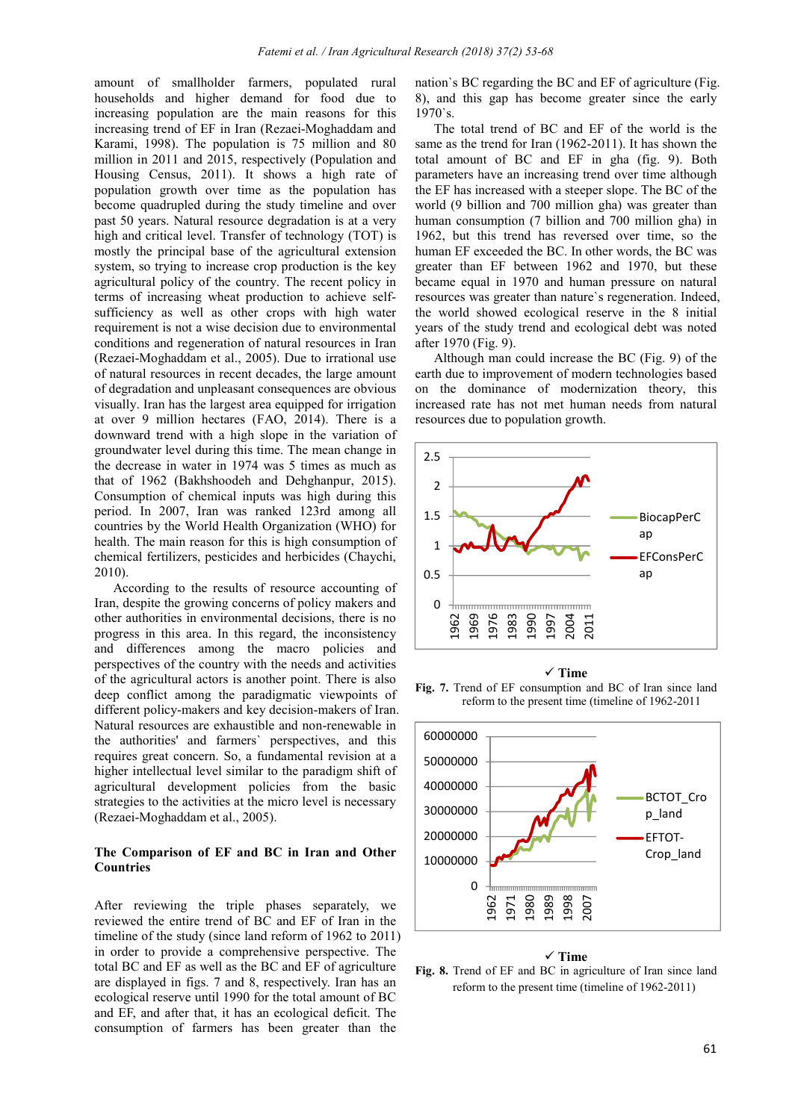amount of smallholder farmers, populated rural households and higher demand for food due to increasing population are the main reasons for this increasing trend of EF in Iran (Rezaei-Moghaddam and Karami, 1998). The population is 75 million and 80 million in 2011 and 2015, respectively (Population and Housing Census, 2011). It shows a high rate of population growth over time as the population has become quadrupled during the study timeline and over past 50 years. Natural resource degradation is at a very high and critical level. Transfer of technology (TOT) is mostly the principal base of the agricultural extension system, so trying to increase crop production is the key agricultural policy of the country. The recent policy in terms of increasing wheat production to achieve selfsufficiency as well as other crops with high water requirement is not a wise decision due to environmental conditions and regeneration of natural resources in Iran (Rezaei-Moghaddam et al., 2005). Due to irrational use of natural resources in recent decades, the large amount of degradation and unpleasant consequences are obvious visually. Iran has the largest area equipped for irrigation at over 9 million hectares (FAO, 2014). There is a downward trend with a high slope in the variation of groundwater level during this time. The mean change in the decrease in water in 1974 was 5 times as much as that of 1962 (Bakhshoodeh and Dehghanpur, 2015). Consumption of chemical inputs was high during this period. In 2007, Iran was ranked 123rd among all countries by the World Health Organization (WHO) for health. The main reason for this is high consumption of chemical fertilizers, pesticides and herbicides (Chaychi, 2010).

According to the results of resource accounting of Iran, despite the growing concerns of policy makers and other authorities in environmental decisions, there is no progress in this area. In this regard, the inconsistency and differences among the macro policies and perspectives of the country with the needs and activities of the agricultural actors is another point. There is also deep conflict among the paradigmatic viewpoints of different policy-makers and key decision-makers of Iran. Natural resources are exhaustible and non-renewable in the authorities' and farmers` perspectives, and this requires great concern. So, a fundamental revision at a higher intellectual level similar to the paradigm shift of agricultural development policies from the basic strategies to the activities at the micro level is necessary (Rezaei-Moghaddam et al., 2005).

## **The Comparison of EF and BC in Iran and Other Countries**

After reviewing the triple phases separately, we reviewed the entire trend of BC and EF of Iran in the timeline of the study (since land reform of 1962 to 2011) in order to provide a comprehensive perspective. The total BC and EF as well as the BC and EF of agriculture are displayed in figs. 7 and 8, respectively. Iran has an ecological reserve until 1990 for the total amount of BC and EF, and after that, it has an ecological deficit. The consumption of farmers has been greater than the

nation`s BC regarding the BC and EF of agriculture (Fig. 8), and this gap has become greater since the early 1970`s.

The total trend of BC and EF of the world is the same as the trend for Iran (1962-2011). It has shown the total amount of BC and EF in gha (fig. 9). Both parameters have an increasing trend over time although the EF has increased with a steeper slope. The BC of the world (9 billion and 700 million gha) was greater than human consumption (7 billion and 700 million gha) in 1962, but this trend has reversed over time, so the human EF exceeded the BC. In other words, the BC was greater than EF between 1962 and 1970, but these became equal in 1970 and human pressure on natural resources was greater than nature`s regeneration. Indeed, the world showed ecological reserve in the 8 initial years of the study trend and ecological debt was noted after 1970 (Fig. 9).

Although man could increase the BC (Fig. 9) of the earth due to improvement of modern technologies based on the dominance of modernization theory, this increased rate has not met human needs from natural resources due to population growth.



 **Time Fig. 7.** Trend of EF consumption and BC of Iran since land reform to the present time (timeline of 1962-2011



**Time** 

**Fig. 8.** Trend of EF and BC in agriculture of Iran since land reform to the present time (timeline of 1962-2011)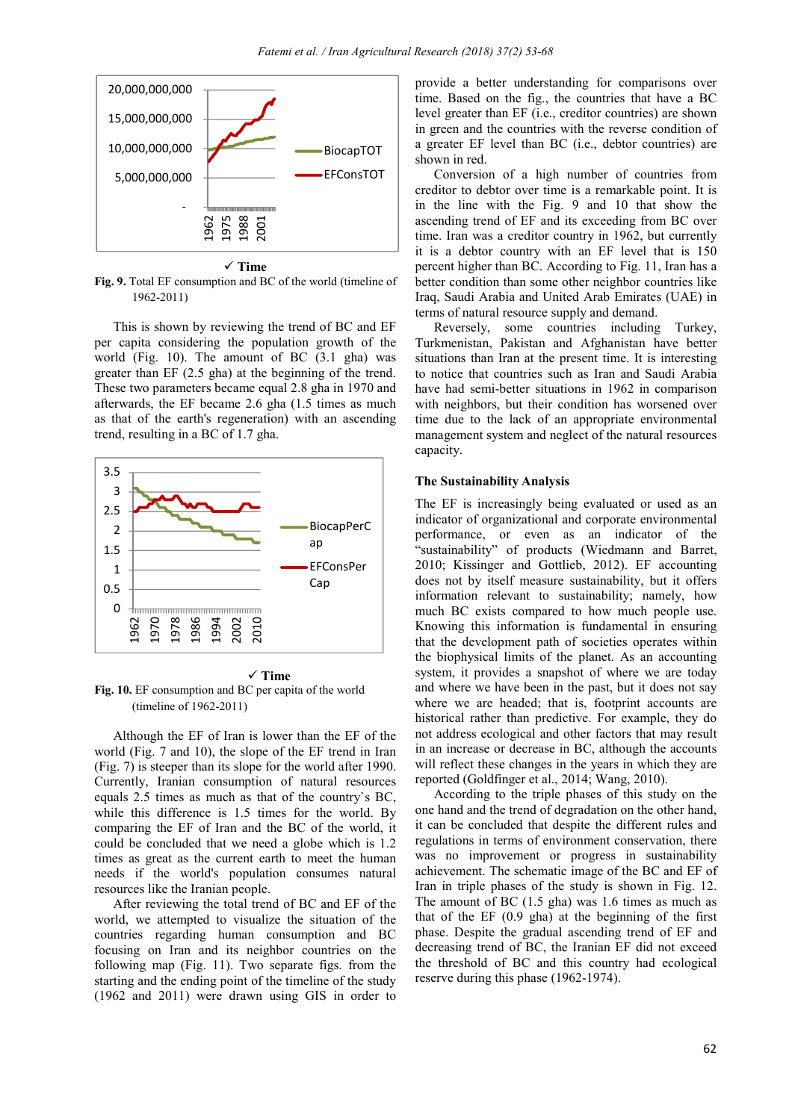

**Time** 

**Fig. 9.** Total EF consumption and BC of the world (timeline of 1962-2011)

This is shown by reviewing the trend of BC and EF per capita considering the population growth of the world (Fig. 10). The amount of BC (3.1 gha) was greater than EF (2.5 gha) at the beginning of the trend. These two parameters became equal 2.8 gha in 1970 and afterwards, the EF became 2.6 gha (1.5 times as much as that of the earth's regeneration) with an ascending trend, resulting in a BC of 1.7 gha.



 **Time Fig. 10.** EF consumption and BC per capita of the world (timeline of 1962-2011)

Although the EF of Iran is lower than the EF of the world (Fig. 7 and 10), the slope of the EF trend in Iran (Fig. 7) is steeper than its slope for the world after 1990. Currently, Iranian consumption of natural resources equals 2.5 times as much as that of the country`s BC, while this difference is 1.5 times for the world. By comparing the EF of Iran and the BC of the world, it could be concluded that we need a globe which is 1.2 times as great as the current earth to meet the human needs if the world's population consumes natural resources like the Iranian people.

After reviewing the total trend of BC and EF of the world, we attempted to visualize the situation of the countries regarding human consumption and BC focusing on Iran and its neighbor countries on the following map (Fig. 11). Two separate figs. from the starting and the ending point of the timeline of the study (1962 and 2011) were drawn using GIS in order to provide a better understanding for comparisons over time. Based on the fig., the countries that have a BC level greater than EF (i.e., creditor countries) are shown in green and the countries with the reverse condition of a greater EF level than BC (i.e., debtor countries) are shown in red.

Conversion of a high number of countries from creditor to debtor over time is a remarkable point. It is in the line with the Fig. 9 and 10 that show the ascending trend of EF and its exceeding from BC over time. Iran was a creditor country in 1962, but currently it is a debtor country with an EF level that is 150 percent higher than BC. According to Fig. 11, Iran has a better condition than some other neighbor countries like Iraq, Saudi Arabia and United Arab Emirates (UAE) in terms of natural resource supply and demand.

Reversely, some countries including Turkey, Turkmenistan, Pakistan and Afghanistan have better situations than Iran at the present time. It is interesting to notice that countries such as Iran and Saudi Arabia have had semi-better situations in 1962 in comparison with neighbors, but their condition has worsened over time due to the lack of an appropriate environmental management system and neglect of the natural resources capacity.

#### **The Sustainability Analysis**

The EF is increasingly being evaluated or used as an indicator of organizational and corporate environmental performance, or even as an indicator of the "sustainability" of products (Wiedmann and Barret, 2010; Kissinger and Gottlieb, 2012). EF accounting does not by itself measure sustainability, but it offers information relevant to sustainability; namely, how much BC exists compared to how much people use. Knowing this information is fundamental in ensuring that the development path of societies operates within the biophysical limits of the planet. As an accounting system, it provides a snapshot of where we are today and where we have been in the past, but it does not say where we are headed; that is, footprint accounts are historical rather than predictive. For example, they do not address ecological and other factors that may result in an increase or decrease in BC, although the accounts will reflect these changes in the years in which they are reported (Goldfinger et al., 2014; Wang, 2010).

According to the triple phases of this study on the one hand and the trend of degradation on the other hand, it can be concluded that despite the different rules and regulations in terms of environment conservation, there was no improvement or progress in sustainability achievement. The schematic image of the BC and EF of Iran in triple phases of the study is shown in Fig. 12. The amount of BC (1.5 gha) was 1.6 times as much as that of the EF (0.9 gha) at the beginning of the first phase. Despite the gradual ascending trend of EF and decreasing trend of BC, the Iranian EF did not exceed the threshold of BC and this country had ecological reserve during this phase (1962-1974).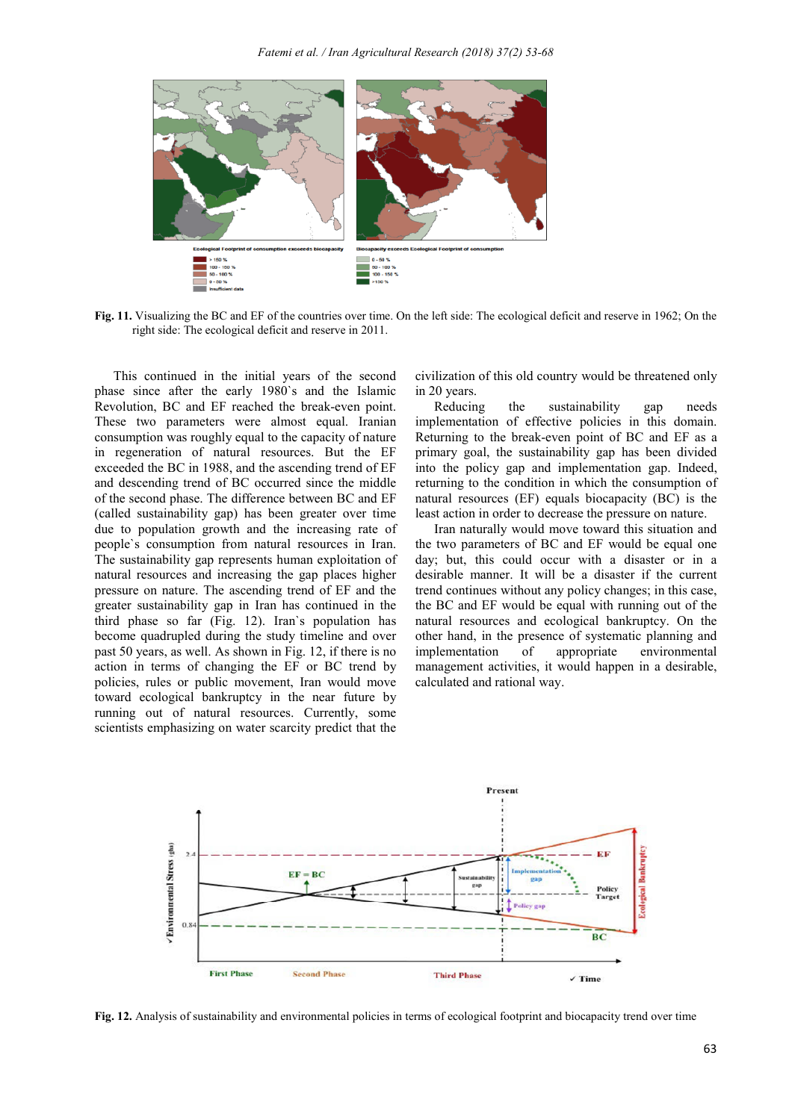

**Fig. 11.** Visualizing the BC and EF of the countries over time. On the left side: The ecological deficit and reserve in 1962; On the right side: The ecological deficit and reserve in 2011.

This continued in the initial years of the second phase since after the early 1980`s and the Islamic Revolution, BC and EF reached the break-even point. These two parameters were almost equal. Iranian consumption was roughly equal to the capacity of nature in regeneration of natural resources. But the EF exceeded the BC in 1988, and the ascending trend of EF and descending trend of BC occurred since the middle of the second phase. The difference between BC and EF (called sustainability gap) has been greater over time due to population growth and the increasing rate of people`s consumption from natural resources in Iran. The sustainability gap represents human exploitation of natural resources and increasing the gap places higher pressure on nature. The ascending trend of EF and the greater sustainability gap in Iran has continued in the third phase so far (Fig. 12). Iran`s population has become quadrupled during the study timeline and over past 50 years, as well. As shown in Fig. 12, if there is no action in terms of changing the EF or BC trend by policies, rules or public movement, Iran would move toward ecological bankruptcy in the near future by running out of natural resources. Currently, some scientists emphasizing on water scarcity predict that the civilization of this old country would be threatened only in 20 years.

Reducing the sustainability gap needs implementation of effective policies in this domain. Returning to the break-even point of BC and EF as a primary goal, the sustainability gap has been divided into the policy gap and implementation gap. Indeed, returning to the condition in which the consumption of natural resources (EF) equals biocapacity (BC) is the least action in order to decrease the pressure on nature.

Iran naturally would move toward this situation and the two parameters of BC and EF would be equal one day; but, this could occur with a disaster or in a desirable manner. It will be a disaster if the current trend continues without any policy changes; in this case, the BC and EF would be equal with running out of the natural resources and ecological bankruptcy. On the other hand, in the presence of systematic planning and implementation of appropriate environmental management activities, it would happen in a desirable, calculated and rational way.



**Fig. 12.** Analysis of sustainability and environmental policies in terms of ecological footprint and biocapacity trend over time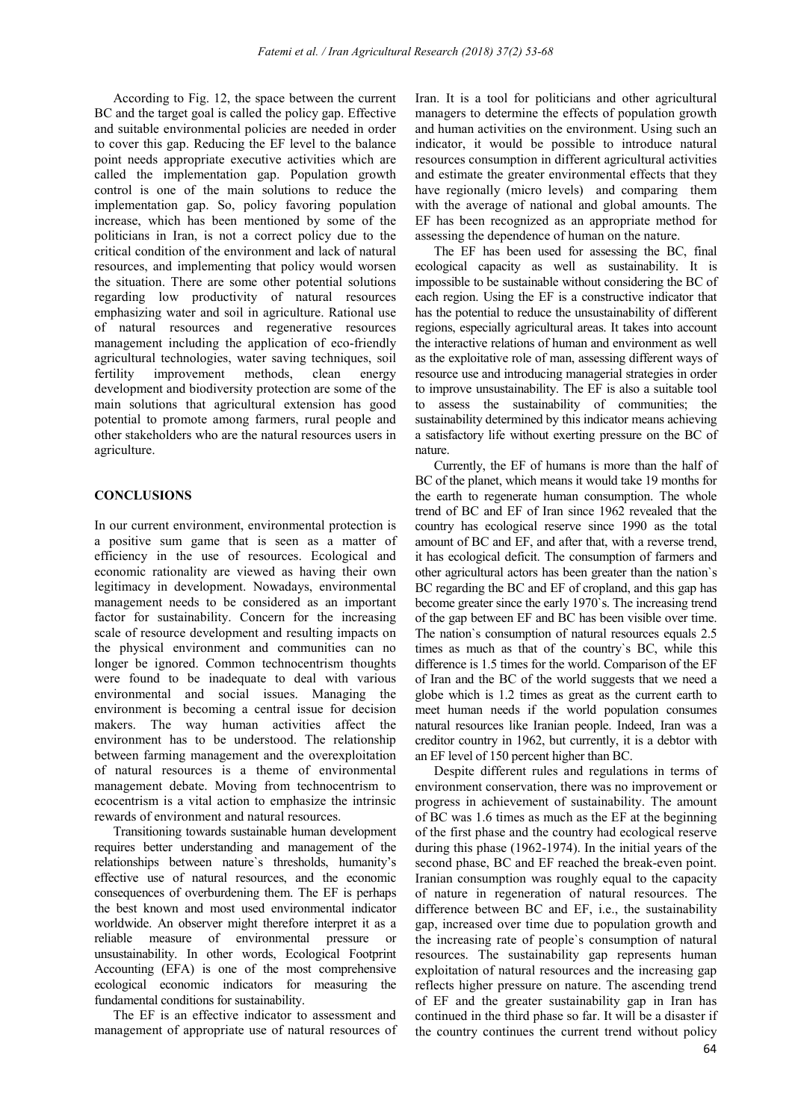According to Fig. 12, the space between the current BC and the target goal is called the policy gap. Effective and suitable environmental policies are needed in order to cover this gap. Reducing the EF level to the balance point needs appropriate executive activities which are called the implementation gap. Population growth control is one of the main solutions to reduce the implementation gap. So, policy favoring population increase, which has been mentioned by some of the politicians in Iran, is not a correct policy due to the critical condition of the environment and lack of natural resources, and implementing that policy would worsen the situation. There are some other potential solutions regarding low productivity of natural resources emphasizing water and soil in agriculture. Rational use of natural resources and regenerative resources management including the application of eco-friendly agricultural technologies, water saving techniques, soil fertility improvement methods, clean energy development and biodiversity protection are some of the main solutions that agricultural extension has good potential to promote among farmers, rural people and other stakeholders who are the natural resources users in agriculture.

#### **CONCLUSIONS**

In our current environment, environmental protection is a positive sum game that is seen as a matter of efficiency in the use of resources. Ecological and economic rationality are viewed as having their own legitimacy in development. Nowadays, environmental management needs to be considered as an important factor for sustainability. Concern for the increasing scale of resource development and resulting impacts on the physical environment and communities can no longer be ignored. Common technocentrism thoughts were found to be inadequate to deal with various environmental and social issues. Managing the environment is becoming a central issue for decision makers. The way human activities affect the environment has to be understood. The relationship between farming management and the overexploitation of natural resources is a theme of environmental management debate. Moving from technocentrism to ecocentrism is a vital action to emphasize the intrinsic rewards of environment and natural resources.

Transitioning towards sustainable human development requires better understanding and management of the relationships between nature`s thresholds, humanity's effective use of natural resources, and the economic consequences of overburdening them. The EF is perhaps the best known and most used environmental indicator worldwide. An observer might therefore interpret it as a reliable measure of environmental pressure or unsustainability. In other words, Ecological Footprint Accounting (EFA) is one of the most comprehensive ecological economic indicators for measuring the fundamental conditions for sustainability.

The EF is an effective indicator to assessment and management of appropriate use of natural resources of Iran. It is a tool for politicians and other agricultural managers to determine the effects of population growth and human activities on the environment. Using such an indicator, it would be possible to introduce natural resources consumption in different agricultural activities and estimate the greater environmental effects that they have regionally (micro levels) and comparing them with the average of national and global amounts. The EF has been recognized as an appropriate method for assessing the dependence of human on the nature.

The EF has been used for assessing the BC, final ecological capacity as well as sustainability. It is impossible to be sustainable without considering the BC of each region. Using the EF is a constructive indicator that has the potential to reduce the unsustainability of different regions, especially agricultural areas. It takes into account the interactive relations of human and environment as well as the exploitative role of man, assessing different ways of resource use and introducing managerial strategies in order to improve unsustainability. The EF is also a suitable tool to assess the sustainability of communities; the sustainability determined by this indicator means achieving a satisfactory life without exerting pressure on the BC of nature.

Currently, the EF of humans is more than the half of BC of the planet, which means it would take 19 months for the earth to regenerate human consumption. The whole trend of BC and EF of Iran since 1962 revealed that the country has ecological reserve since 1990 as the total amount of BC and EF, and after that, with a reverse trend, it has ecological deficit. The consumption of farmers and other agricultural actors has been greater than the nation`s BC regarding the BC and EF of cropland, and this gap has become greater since the early 1970`s. The increasing trend of the gap between EF and BC has been visible over time. The nation`s consumption of natural resources equals 2.5 times as much as that of the country`s BC, while this difference is 1.5 times for the world. Comparison of the EF of Iran and the BC of the world suggests that we need a globe which is 1.2 times as great as the current earth to meet human needs if the world population consumes natural resources like Iranian people. Indeed, Iran was a creditor country in 1962, but currently, it is a debtor with an EF level of 150 percent higher than BC.

Despite different rules and regulations in terms of environment conservation, there was no improvement or progress in achievement of sustainability. The amount of BC was 1.6 times as much as the EF at the beginning of the first phase and the country had ecological reserve during this phase (1962-1974). In the initial years of the second phase, BC and EF reached the break-even point. Iranian consumption was roughly equal to the capacity of nature in regeneration of natural resources. The difference between BC and EF, i.e., the sustainability gap, increased over time due to population growth and the increasing rate of people`s consumption of natural resources. The sustainability gap represents human exploitation of natural resources and the increasing gap reflects higher pressure on nature. The ascending trend of EF and the greater sustainability gap in Iran has continued in the third phase so far. It will be a disaster if the country continues the current trend without policy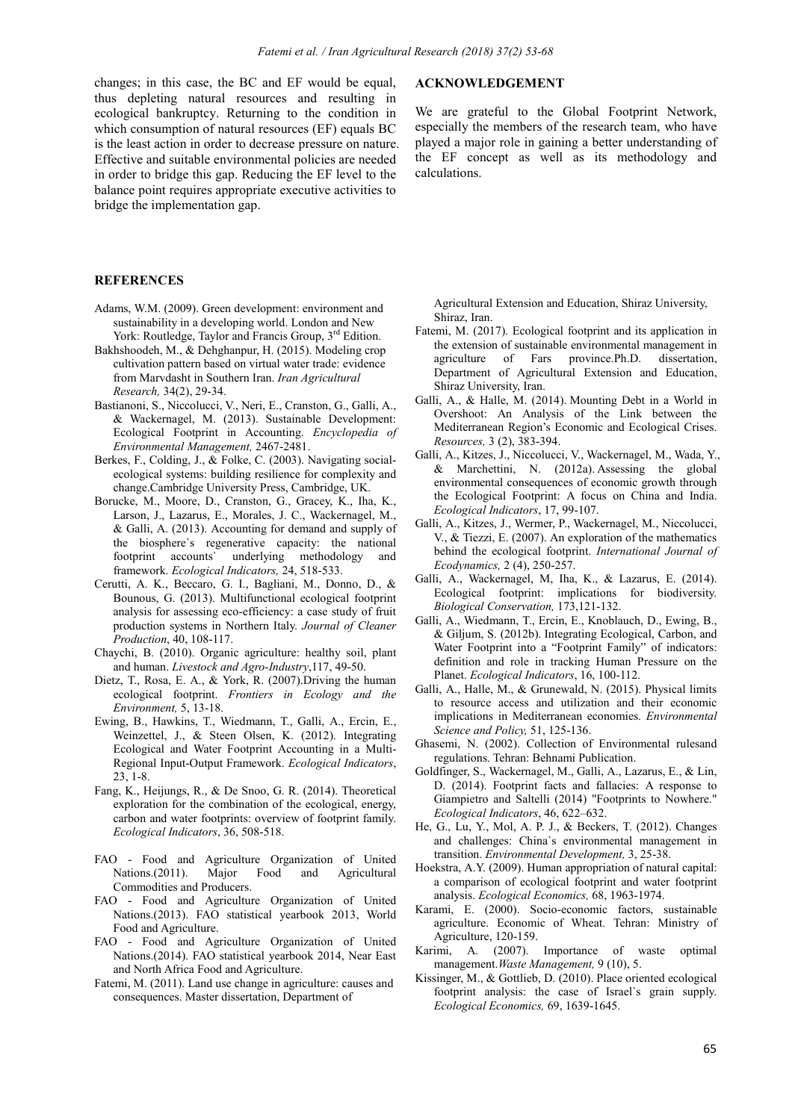changes; in this case, the BC and EF would be equal, thus depleting natural resources and resulting in ecological bankruptcy. Returning to the condition in which consumption of natural resources (EF) equals BC is the least action in order to decrease pressure on nature. Effective and suitable environmental policies are needed in order to bridge this gap. Reducing the EF level to the balance point requires appropriate executive activities to bridge the implementation gap.

## **REFERENCES**

- Adams, W.M. (2009). Green development: environment and sustainability in a developing world. London and New York: Routledge, Taylor and Francis Group, 3<sup>rd</sup> Edition.
- Bakhshoodeh, M., & Dehghanpur, H. (2015). Modeling crop cultivation pattern based on virtual water trade: evidence from Marvdasht in Southern Iran. *Iran Agricultural Research,* 34(2), 29-34.
- Bastianoni, S., Niccolucci, V., Neri, E., Cranston, G., Galli, A., & Wackernagel, M. (2013). Sustainable Development: Ecological Footprint in Accounting. *Encyclopedia of Environmental Management,* 2467-2481.
- Berkes, F., Colding, J., & Folke, C. (2003). Navigating socialecological systems: building resilience for complexity and change.Cambridge University Press, Cambridge, UK.
- Borucke, M., Moore, D., Cranston, G., Gracey, K., Iha, K., Larson, J., Lazarus, E., Morales, J. C., Wackernagel, M., & Galli, A. (2013). Accounting for demand and supply of the biosphere`s regenerative capacity: the national footprint accounts` underlying methodology and framework. *Ecological Indicators,* 24, 518-533.
- Cerutti, A. K., Beccaro, G. I., Bagliani, M., Donno, D., & Bounous, G. (2013). Multifunctional ecological footprint analysis for assessing eco-efficiency: a case study of fruit production systems in Northern Italy. *Journal of Cleaner Production*, 40, 108-117.
- Chaychi, B. (2010). Organic agriculture: healthy soil, plant and human. *Livestock and Agro-Industry*,117, 49-50.
- Dietz, T., Rosa, E. A., & York, R. (2007).Driving the human ecological footprint. *Frontiers in Ecology and the Environment,* 5, 13-18.
- Ewing, B., Hawkins, T., Wiedmann, T., Galli, A., Ercin, E., Weinzettel, J., & Steen Olsen, K. (2012). Integrating Ecological and Water Footprint Accounting in a Multi-Regional Input-Output Framework. *Ecological Indicators*, 23, 1-8.
- Fang, K., Heijungs, R., & De Snoo, G. R. (2014). Theoretical exploration for the combination of the ecological, energy, carbon and water footprints: overview of footprint family. *Ecological Indicators*, 36, 508-518.
- FAO Food and Agriculture Organization of United Nations.(2011). Major Food and Agricultural Commodities and Producers.
- FAO Food and Agriculture Organization of United Nations.(2013). FAO statistical yearbook 2013, World Food and Agriculture.
- FAO Food and Agriculture Organization of United Nations.(2014). FAO statistical yearbook 2014, Near East and North Africa Food and Agriculture.
- Fatemi, M. (2011). Land use change in agriculture: causes and consequences. Master dissertation, Department of

## **ACKNOWLEDGEMENT**

We are grateful to the Global Footprint Network, especially the members of the research team, who have played a major role in gaining a better understanding of the EF concept as well as its methodology and calculations.

Agricultural Extension and Education, Shiraz University, Shiraz, Iran.

- Fatemi, M. (2017). Ecological footprint and its application in the extension of sustainable environmental management in agriculture of Fars province.Ph.D. dissertation. agriculture of Fars province.Ph.D. dissertation, Department of Agricultural Extension and Education, Shiraz University, Iran.
- Galli, A., & Halle, M. (2014). Mounting Debt in a World in Overshoot: An Analysis of the Link between the Mediterranean Region's Economic and Ecological Crises. *Resources,* 3 (2), 383-394.
- Galli, A., Kitzes, J., Niccolucci, V., Wackernagel, M., Wada, Y., & Marchettini, N. (2012a). Assessing the global environmental consequences of economic growth through the Ecological Footprint: A focus on China and India. *Ecological Indicators*, 17, 99-107.
- Galli, A., Kitzes, J., Wermer, P., Wackernagel, M., Niccolucci, V., & Tiezzi, E. (2007). An exploration of the mathematics behind the ecological footprint. *International Journal of Ecodynamics,* 2 (4), 250-257.
- Galli, A., Wackernagel, M, Iha, K., & Lazarus, E. (2014). Ecological footprint: implications for biodiversity. *Biological Conservation,* 173,121-132.
- Galli, A., Wiedmann, T., Ercin, E., Knoblauch, D., Ewing, B., & Giljum, S. (2012b). Integrating Ecological, Carbon, and Water Footprint into a "Footprint Family" of indicators: definition and role in tracking Human Pressure on the Planet. *Ecological Indicators*, 16, 100-112.
- Galli, A., Halle, M., & Grunewald, N. (2015). Physical limits to resource access and utilization and their economic implications in Mediterranean economies. *Environmental Science and Policy,* 51, 125-136.
- Ghasemi, N. (2002). Collection of Environmental rulesand regulations. Tehran: Behnami Publication.
- Goldfinger, S., Wackernagel, M., Galli, A., Lazarus, E., & Lin, D. (2014). Footprint facts and fallacies: A response to Giampietro and Saltelli (2014) "Footprints to Nowhere." *Ecological Indicators*, 46, 622–632.
- He, G., Lu, Y., Mol, A. P. J., & Beckers, T. (2012). Changes and challenges: China`s environmental management in transition. *Environmental Development,* 3, 25-38.
- Hoekstra, A.Y. (2009). Human appropriation of natural capital: a comparison of ecological footprint and water footprint analysis. *Ecological Economics,* 68, 1963-1974.
- Karami, E. (2000). Socio-economic factors, sustainable agriculture. Economic of Wheat. Tehran: Ministry of Agriculture, 120-159.
- Karimi, A. (2007). Importance of waste optimal management.*Waste Management,* 9 (10), 5.
- Kissinger, M., & Gottlieb, D. (2010). Place oriented ecological footprint analysis: the case of Israel`s grain supply. *Ecological Economics,* 69, 1639-1645.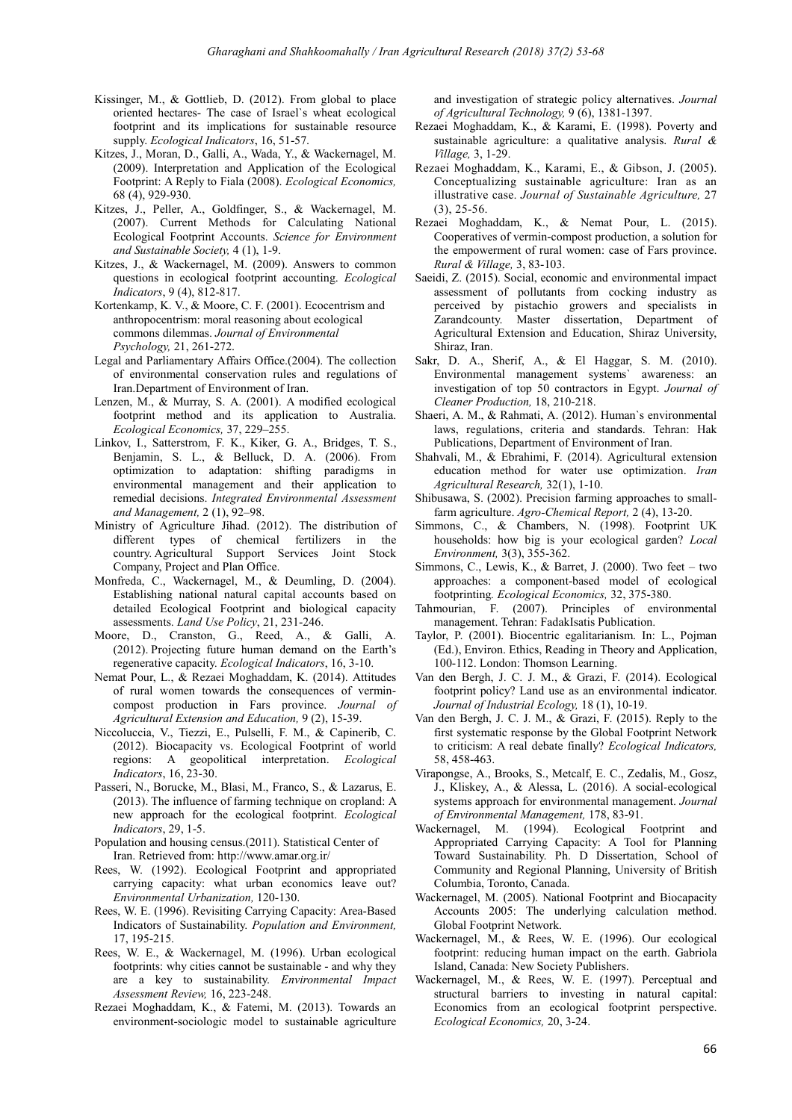- Kissinger, M., & Gottlieb, D. (2012). From global to place oriented hectares- The case of Israel`s wheat ecological footprint and its implications for sustainable resource supply. *Ecological Indicators*, 16, 51-57.
- Kitzes, J., Moran, D., Galli, A., Wada, Y., & Wackernagel, M. (2009). Interpretation and Application of the Ecological Footprint: A Reply to Fiala (2008). *Ecological Economics,* 68 (4), 929-930.
- Kitzes, J., Peller, A., Goldfinger, S., & Wackernagel, M. (2007). Current Methods for Calculating National Ecological Footprint Accounts. *Science for Environment and Sustainable Society,* 4 (1), 1-9.
- Kitzes, J., & Wackernagel, M. (2009). Answers to common questions in ecological footprint accounting. *Ecological Indicators*, 9 (4), 812-817.
- Kortenkamp, K. V., & Moore, C. F. (2001). Ecocentrism and anthropocentrism: moral reasoning about ecological commons dilemmas. *Journal of Environmental Psychology,* 21, 261-272.
- Legal and Parliamentary Affairs Office.(2004). The collection of environmental conservation rules and regulations of Iran.Department of Environment of Iran.
- Lenzen, M., & Murray, S. A. (2001). A modified ecological footprint method and its application to Australia. *Ecological Economics,* 37, 229–255.
- Linkov, I., Satterstrom, F. K., Kiker, G. A., Bridges, T. S., Benjamin, S. L., & Belluck, D. A. (2006). From optimization to adaptation: shifting paradigms in environmental management and their application to remedial decisions. *Integrated Environmental Assessment and Management,* 2 (1), 92–98.
- Ministry of Agriculture Jihad. (2012). The distribution of different types of chemical fertilizers in the country. Agricultural Support Services Joint Stock Company, Project and Plan Office.
- Monfreda, C., Wackernagel, M., & Deumling, D. (2004). Establishing national natural capital accounts based on detailed Ecological Footprint and biological capacity assessments. *Land Use Policy*, 21, 231-246.
- Moore, D., Cranston, G., Reed, A., & Galli, A. (2012). Projecting future human demand on the Earth's regenerative capacity. *Ecological Indicators*, 16, 3-10.
- Nemat Pour, L., & Rezaei Moghaddam, K. (2014). Attitudes of rural women towards the consequences of vermincompost production in Fars province. *Journal of Agricultural Extension and Education,* 9 (2), 15-39.
- Niccoluccia, V., Tiezzi, E., Pulselli, F. M., & Capinerib, C. (2012). Biocapacity vs. Ecological Footprint of world regions: A geopolitical interpretation. *Ecological Indicators*, 16, 23-30.
- Passeri, N., Borucke, M., Blasi, M., Franco, S., & Lazarus, E. (2013). The influence of farming technique on cropland: A new approach for the ecological footprint. *Ecological Indicators*, 29, 1-5.
- Population and housing census.(2011). Statistical Center of Iran. Retrieved from: http://www.amar.org.ir/
- Rees, W. (1992). Ecological Footprint and appropriated carrying capacity: what urban economics leave out? *Environmental Urbanization,* 120-130.
- Rees, W. E. (1996). Revisiting Carrying Capacity: Area-Based Indicators of Sustainability. *Population and Environment,*  17, 195-215.
- Rees, W. E., & Wackernagel, M. (1996). Urban ecological footprints: why cities cannot be sustainable - and why they are a key to sustainability. *Environmental Impact Assessment Review,* 16, 223-248.
- Rezaei Moghaddam, K., & Fatemi, M. (2013). Towards an environment-sociologic model to sustainable agriculture

and investigation of strategic policy alternatives. *Journal of Agricultural Technology,* 9 (6), 1381-1397.

- Rezaei Moghaddam, K., & Karami, E. (1998). Poverty and sustainable agriculture: a qualitative analysis. *Rural & Village,* 3, 1-29.
- Rezaei Moghaddam, K., Karami, E., & Gibson, J. (2005). Conceptualizing sustainable agriculture: Iran as an illustrative case. *Journal of Sustainable Agriculture,* 27 (3), 25-56.
- Rezaei Moghaddam, K., & Nemat Pour, L. (2015). Cooperatives of vermin-compost production, a solution for the empowerment of rural women: case of Fars province. *Rural & Village,* 3, 83-103.
- Saeidi, Z. (2015). Social, economic and environmental impact assessment of pollutants from cocking industry as perceived by pistachio growers and specialists in Zarandcounty. Master dissertation, Department of Agricultural Extension and Education, Shiraz University, Shiraz, Iran.
- Sakr, D. A., Sherif, A., & El Haggar, S. M. (2010). Environmental management systems` awareness: an investigation of top 50 contractors in Egypt. *Journal of Cleaner Production,* 18, 210-218.
- Shaeri, A. M., & Rahmati, A. (2012). Human`s environmental laws, regulations, criteria and standards. Tehran: Hak Publications, Department of Environment of Iran.
- Shahvali, M., & Ebrahimi, F. (2014). Agricultural extension education method for water use optimization. *Iran Agricultural Research,* 32(1), 1-10.
- Shibusawa, S. (2002). Precision farming approaches to smallfarm agriculture. *Agro-Chemical Report,* 2 (4), 13-20.
- Simmons, C., & Chambers, N. (1998). Footprint UK households: how big is your ecological garden? *Local Environment,* 3(3), 355-362.
- Simmons, C., Lewis, K., & Barret, J. (2000). Two feet two approaches: a component-based model of ecological footprinting*. Ecological Economics,* 32, 375-380.
- Tahmourian, F. (2007). Principles of environmental management. Tehran: FadakIsatis Publication.
- Taylor, P. (2001). Biocentric egalitarianism. In: L., Pojman (Ed.), Environ. Ethics, Reading in Theory and Application, 100-112. London: Thomson Learning.
- Van den Bergh, J. C. J. M., & Grazi, F. (2014). Ecological footprint policy? Land use as an environmental indicator. *Journal of Industrial Ecology,* 18 (1), 10-19.
- Van den Bergh, J. C. J. M., & Grazi, F. (2015). Reply to the first systematic response by the Global Footprint Network to criticism: A real debate finally? *Ecological Indicators,* 58, 458-463.
- Virapongse, A., Brooks, S., Metcalf, E. C., Zedalis, M., Gosz, J., Kliskey, A., & Alessa, L. (2016). A social-ecological systems approach for environmental management. *Journal of Environmental Management,* 178, 83-91.
- Wackernagel, M. (1994). Ecological Footprint and Appropriated Carrying Capacity: A Tool for Planning Toward Sustainability. Ph. D Dissertation, School of Community and Regional Planning, University of British Columbia, Toronto, Canada.
- Wackernagel, M. (2005). National Footprint and Biocapacity Accounts 2005: The underlying calculation method. Global Footprint Network.
- Wackernagel, M., & Rees, W. E. (1996). Our ecological footprint: reducing human impact on the earth. Gabriola Island, Canada: New Society Publishers.
- Wackernagel, M., & Rees, W. E. (1997). Perceptual and structural barriers to investing in natural capital: Economics from an ecological footprint perspective. *Ecological Economics,* 20, 3-24.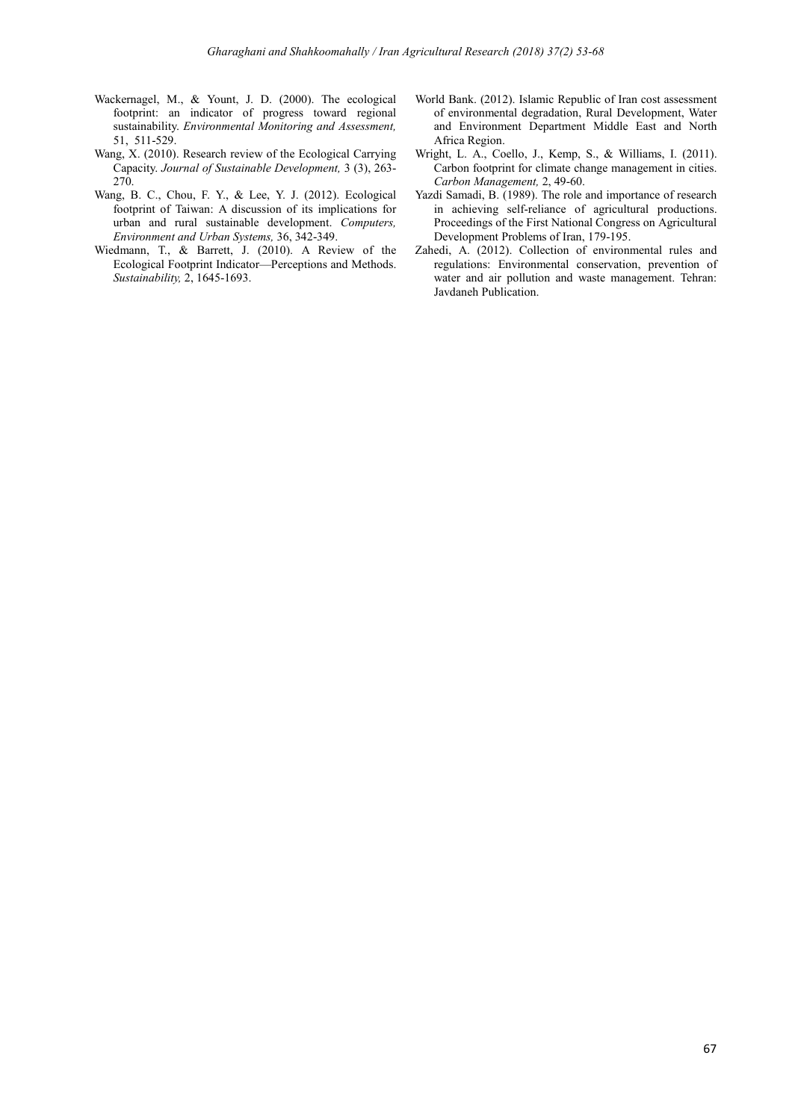- Wackernagel, M., & Yount, J. D. (2000). The ecological footprint: an indicator of progress toward regional sustainability. *Environmental Monitoring and Assessment,*  51, 511-529.
- Wang, X. (2010). Research review of the Ecological Carrying Capacity. *Journal of Sustainable Development,* 3 (3), 263- 270.
- Wang, B. C., Chou, F. Y., & Lee, Y. J. (2012). Ecological footprint of Taiwan: A discussion of its implications for urban and rural sustainable development. *Computers, Environment and Urban Systems,* 36, 342-349.
- Wiedmann, T., & Barrett, J. (2010). A Review of the Ecological Footprint Indicator—Perceptions and Methods. *Sustainability,* 2, 1645-1693.
- World Bank. (2012). Islamic Republic of Iran cost assessment of environmental degradation, Rural Development, Water and Environment Department Middle East and North Africa Region.
- Wright, L. A., Coello, J., Kemp, S., & Williams, I. (2011). Carbon footprint for climate change management in cities. *Carbon Management,* 2, 49-60.
- Yazdi Samadi, B. (1989). The role and importance of research in achieving self-reliance of agricultural productions. Proceedings of the First National Congress on Agricultural Development Problems of Iran, 179-195.
- Zahedi, A. (2012). Collection of environmental rules and regulations: Environmental conservation, prevention of water and air pollution and waste management. Tehran: Javdaneh Publication.